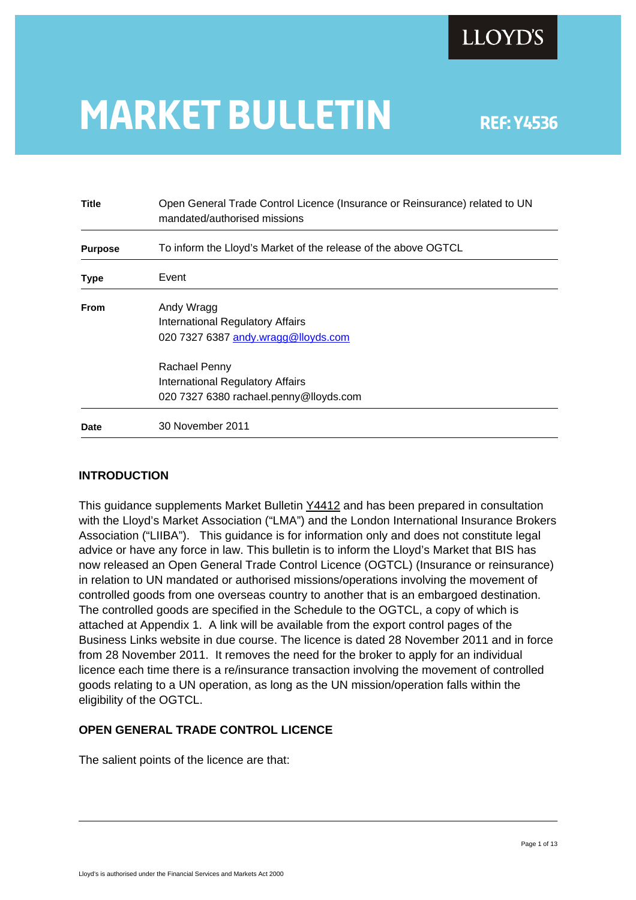# **MARKET BULLETIN** REF: Y4536

| <b>Title</b>   | Open General Trade Control Licence (Insurance or Reinsurance) related to UN<br>mandated/authorised missions |
|----------------|-------------------------------------------------------------------------------------------------------------|
| <b>Purpose</b> | To inform the Lloyd's Market of the release of the above OGTCL                                              |
| Type           | Event                                                                                                       |
| <b>From</b>    | Andy Wragg                                                                                                  |
|                | International Regulatory Affairs                                                                            |
|                | 020 7327 6387 andy.wragg@lloyds.com                                                                         |
|                | Rachael Penny                                                                                               |
|                | <b>International Regulatory Affairs</b>                                                                     |
|                | 020 7327 6380 rachael.penny@lloyds.com                                                                      |
| Date           | 30 November 2011                                                                                            |

#### **INTRODUCTION**

This guidance supplements Market Bulletin [Y4412](http://www.lloyds.com/~/media/Files/The Market/Communications/Market Bulletins/2010/07/Y4412.pdf#search=) and has been prepared in consultation with the Lloyd's Market Association ("LMA") and the London International Insurance Brokers Association ("LIIBA"). This guidance is for information only and does not constitute legal advice or have any force in law. This bulletin is to inform the Lloyd's Market that BIS has now released an Open General Trade Control Licence (OGTCL) (Insurance or reinsurance) in relation to UN mandated or authorised missions/operations involving the movement of controlled goods from one overseas country to another that is an embargoed destination. The controlled goods are specified in the Schedule to the OGTCL, a copy of which is attached at Appendix 1. A link will be available from the export control pages of the Business Links website in due course. The licence is dated 28 November 2011 and in force from 28 November 2011. It removes the need for the broker to apply for an individual licence each time there is a re/insurance transaction involving the movement of controlled goods relating to a UN operation, as long as the UN mission/operation falls within the eligibility of the OGTCL.

#### **OPEN GENERAL TRADE CONTROL LICENCE**

The salient points of the licence are that: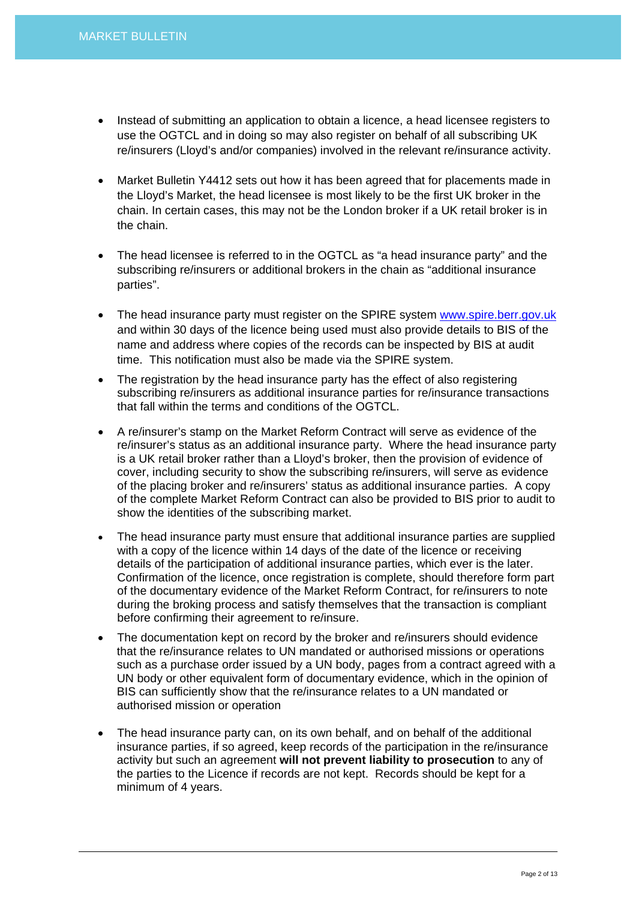- Instead of submitting an application to obtain a licence, a head licensee registers to use the OGTCL and in doing so may also register on behalf of all subscribing UK re/insurers (Lloyd's and/or companies) involved in the relevant re/insurance activity.
- Market Bulletin Y4412 sets out how it has been agreed that for placements made in the Lloyd's Market, the head licensee is most likely to be the first UK broker in the chain. In certain cases, this may not be the London broker if a UK retail broker is in the chain.
- The head licensee is referred to in the OGTCL as "a head insurance party" and the subscribing re/insurers or additional brokers in the chain as "additional insurance parties".
- The head insurance party must register on the SPIRE system [www.spire.berr.gov.uk](http://www.spire.berr.gov.uk/) and within 30 days of the licence being used must also provide details to BIS of the name and address where copies of the records can be inspected by BIS at audit time. This notification must also be made via the SPIRE system.
- The registration by the head insurance party has the effect of also registering subscribing re/insurers as additional insurance parties for re/insurance transactions that fall within the terms and conditions of the OGTCL.
- A re/insurer's stamp on the Market Reform Contract will serve as evidence of the re/insurer's status as an additional insurance party. Where the head insurance party is a UK retail broker rather than a Lloyd's broker, then the provision of evidence of cover, including security to show the subscribing re/insurers, will serve as evidence of the placing broker and re/insurers' status as additional insurance parties. A copy of the complete Market Reform Contract can also be provided to BIS prior to audit to show the identities of the subscribing market.
- The head insurance party must ensure that additional insurance parties are supplied with a copy of the licence within 14 days of the date of the licence or receiving details of the participation of additional insurance parties, which ever is the later. Confirmation of the licence, once registration is complete, should therefore form part of the documentary evidence of the Market Reform Contract, for re/insurers to note during the broking process and satisfy themselves that the transaction is compliant before confirming their agreement to re/insure.
- The documentation kept on record by the broker and re/insurers should evidence that the re/insurance relates to UN mandated or authorised missions or operations such as a purchase order issued by a UN body, pages from a contract agreed with a UN body or other equivalent form of documentary evidence, which in the opinion of BIS can sufficiently show that the re/insurance relates to a UN mandated or authorised mission or operation
- The head insurance party can, on its own behalf, and on behalf of the additional insurance parties, if so agreed, keep records of the participation in the re/insurance activity but such an agreement **will not prevent liability to prosecution** to any of the parties to the Licence if records are not kept. Records should be kept for a minimum of 4 years.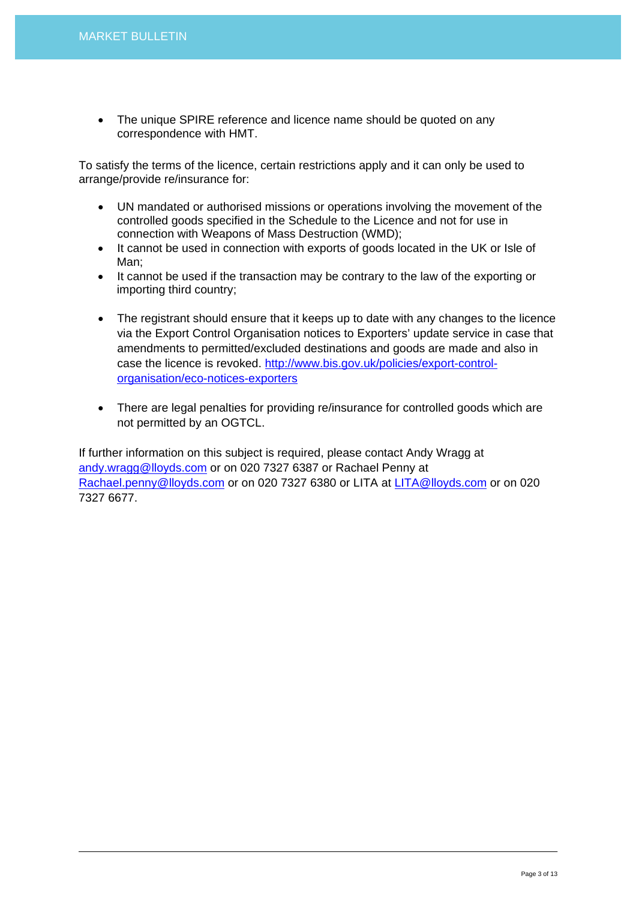• The unique SPIRE reference and licence name should be quoted on any correspondence with HMT.

To satisfy the terms of the licence, certain restrictions apply and it can only be used to arrange/provide re/insurance for:

- UN mandated or authorised missions or operations involving the movement of the controlled goods specified in the Schedule to the Licence and not for use in connection with Weapons of Mass Destruction (WMD);
- It cannot be used in connection with exports of goods located in the UK or Isle of Man;
- It cannot be used if the transaction may be contrary to the law of the exporting or importing third country;
- The registrant should ensure that it keeps up to date with any changes to the licence via the Export Control Organisation notices to Exporters' update service in case that amendments to permitted/excluded destinations and goods are made and also in case the licence is revoked. [http://www.bis.gov.uk/policies/export-control](http://www.bis.gov.uk/policies/export-control-organisation/eco-notices-exporters)[organisation/eco-notices-exporters](http://www.bis.gov.uk/policies/export-control-organisation/eco-notices-exporters)
- There are legal penalties for providing re/insurance for controlled goods which are not permitted by an OGTCL.

If further information on this subject is required, please contact Andy Wragg at [andy.wragg@lloyds.com](mailto:andy.wragg@lloyds.com) or on 020 7327 6387 or Rachael Penny at [Rachael.penny@lloyds.com](mailto:Rachael.penny@lloyds.com) or on 020 7327 6380 or LITA at [LITA@lloyds.com](mailto:LITA@lloyds.com) or on 020 7327 6677.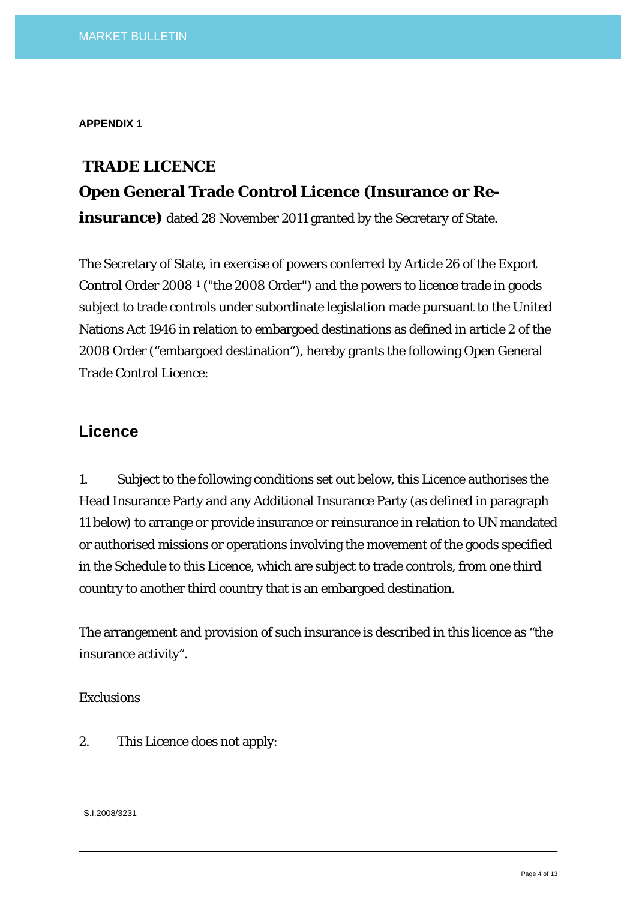**APPENDIX 1** 

# **TRADE LICENCE**

## **Open General Trade Control Licence (Insurance or Re-**

**insurance)** dated 28 November 2011 granted by the Secretary of State.

The Secretary of State, in exercise of powers conferred by Article 26 of the Export Control Order 2008 [1](#page-3-0) ("the 2008 Order") and the powers to licence trade in goods subject to trade controls under subordinate legislation made pursuant to the United Nations Act 1946 in relation to embargoed destinations as defined in article 2 of the 2008 Order ("embargoed destination"), hereby grants the following Open General Trade Control Licence:

## **Licence**

1. Subject to the following conditions set out below, this Licence authorises the Head Insurance Party and any Additional Insurance Party (as defined in paragraph 11 below) to arrange or provide insurance or reinsurance in relation to UN mandated or authorised missions or operations involving the movement of the goods specified in the Schedule to this Licence, which are subject to trade controls, from one third country to another third country that is an embargoed destination.

The arrangement and provision of such insurance is described in this licence as "the insurance activity".

#### *Exclusions*

2. This Licence does not apply:

<span id="page-3-0"></span> 1 S.I.2008/3231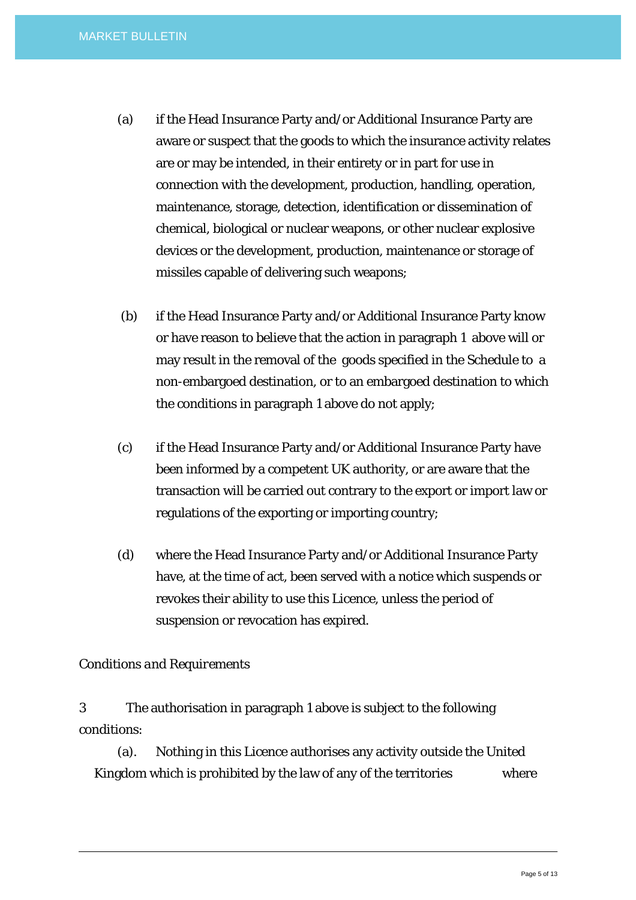- (a) if the Head Insurance Party and/or Additional Insurance Party are aware or suspect that the goods to which the insurance activity relates are or may be intended, in their entirety or in part for use in connection with the development, production, handling, operation, maintenance, storage, detection, identification or dissemination of chemical, biological or nuclear weapons, or other nuclear explosive devices or the development, production, maintenance or storage of missiles capable of delivering such weapons;
- (b) if the Head Insurance Party and/or Additional Insurance Party know or have reason to believe that the action in paragraph 1 above will or may result in the removal of the goods specified in the Schedule to a non-embargoed destination, or to an embargoed destination to which the conditions in paragraph 1 above do not apply;
- (c) if the Head Insurance Party and/or Additional Insurance Party have been informed by a competent UK authority, or are aware that the transaction will be carried out contrary to the export or import law or regulations of the exporting or importing country;
- (d) where the Head Insurance Party and/or Additional Insurance Party have, at the time of act, been served with a notice which suspends or revokes their ability to use this Licence, unless the period of suspension or revocation has expired.

#### *Conditions and Requirements*

3 The authorisation in paragraph 1 above is subject to the following conditions:

 (a). Nothing in this Licence authorises any activity outside the United Kingdom which is prohibited by the law of any of the territories where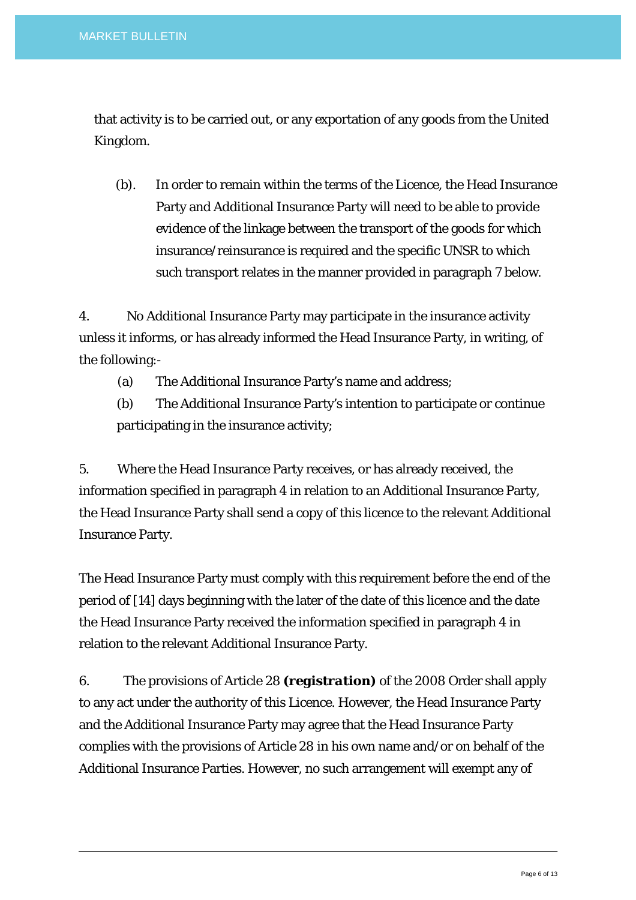that activity is to be carried out, or any exportation of any goods from the United Kingdom.

 (b). In order to remain within the terms of the Licence, the Head Insurance Party and Additional Insurance Party will need to be able to provide evidence of the linkage between the transport of the goods for which insurance/reinsurance is required and the specific UNSR to which such transport relates in the manner provided in paragraph 7 below.

4. No Additional Insurance Party may participate in the insurance activity unless it informs, or has already informed the Head Insurance Party, in writing, of the following:-

(a) The Additional Insurance Party's name and address;

 (b) The Additional Insurance Party's intention to participate or continue participating in the insurance activity;

5. Where the Head Insurance Party receives, or has already received, the information specified in paragraph 4 in relation to an Additional Insurance Party, the Head Insurance Party shall send a copy of this licence to the relevant Additional Insurance Party.

The Head Insurance Party must comply with this requirement before the end of the period of [14] days beginning with the later of the date of this licence and the date the Head Insurance Party received the information specified in paragraph 4 in relation to the relevant Additional Insurance Party.

6. The provisions of Article 28 *(registration)* of the 2008 Order shall apply to any act under the authority of this Licence. However, the Head Insurance Party and the Additional Insurance Party may agree that the Head Insurance Party complies with the provisions of Article 28 in his own name and/or on behalf of the Additional Insurance Parties. However, no such arrangement will exempt any of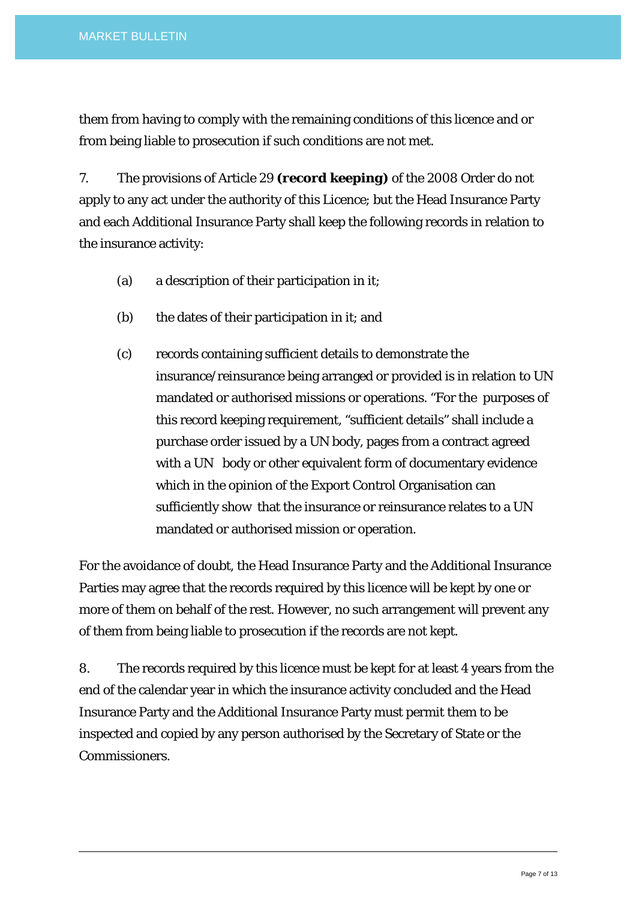them from having to comply with the remaining conditions of this licence and or from being liable to prosecution if such conditions are not met.

7. The provisions of Article 29 *(record keeping)* of the 2008 Order do not apply to any act under the authority of this Licence; but the Head Insurance Party and each Additional Insurance Party shall keep the following records in relation to the insurance activity:

- (a) a description of their participation in it;
- (b) the dates of their participation in it; and
- (c) records containing sufficient details to demonstrate the insurance/reinsurance being arranged or provided is in relation to UN mandated or authorised missions or operations. "For the purposes of this record keeping requirement, "sufficient details" shall include a purchase order issued by a UN body, pages from a contract agreed with a UN body or other equivalent form of documentary evidence which in the opinion of the Export Control Organisation can sufficiently show that the insurance or reinsurance relates to a UN mandated or authorised mission or operation.

For the avoidance of doubt, the Head Insurance Party and the Additional Insurance Parties may agree that the records required by this licence will be kept by one or more of them on behalf of the rest. However, no such arrangement will prevent any of them from being liable to prosecution if the records are not kept.

8. The records required by this licence must be kept for at least 4 years from the end of the calendar year in which the insurance activity concluded and the Head Insurance Party and the Additional Insurance Party must permit them to be inspected and copied by any person authorised by the Secretary of State or the Commissioners.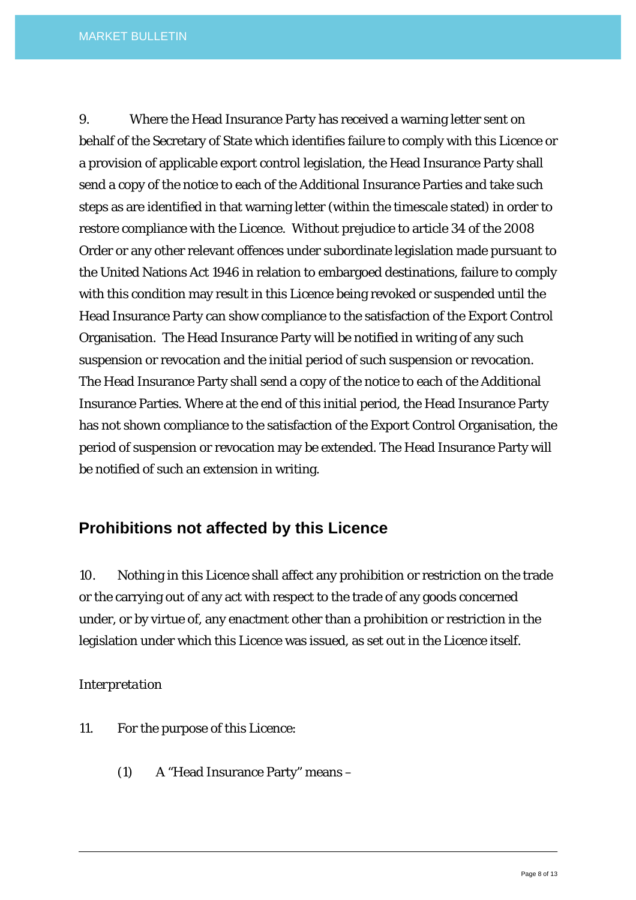9. Where the Head Insurance Party has received a warning letter sent on behalf of the Secretary of State which identifies failure to comply with this Licence or a provision of applicable export control legislation, the Head Insurance Party shall send a copy of the notice to each of the Additional Insurance Parties and take such steps as are identified in that warning letter (within the timescale stated) in order to restore compliance with the Licence. Without prejudice to article 34 of the 2008 Order or any other relevant offences under subordinate legislation made pursuant to the United Nations Act 1946 in relation to embargoed destinations, failure to comply with this condition may result in this Licence being revoked or suspended until the Head Insurance Party can show compliance to the satisfaction of the Export Control Organisation. The Head Insurance Party will be notified in writing of any such suspension or revocation and the initial period of such suspension or revocation. The Head Insurance Party shall send a copy of the notice to each of the Additional Insurance Parties. Where at the end of this initial period, the Head Insurance Party has not shown compliance to the satisfaction of the Export Control Organisation, the period of suspension or revocation may be extended. The Head Insurance Party will be notified of such an extension in writing.

## **Prohibitions not affected by this Licence**

10. Nothing in this Licence shall affect any prohibition or restriction on the trade or the carrying out of any act with respect to the trade of any goods concerned under, or by virtue of, any enactment other than a prohibition or restriction in the legislation under which this Licence was issued, as set out in the Licence itself.

#### *Interpretation*

- 11. For the purpose of this Licence:
	- (1) A "Head Insurance Party" means –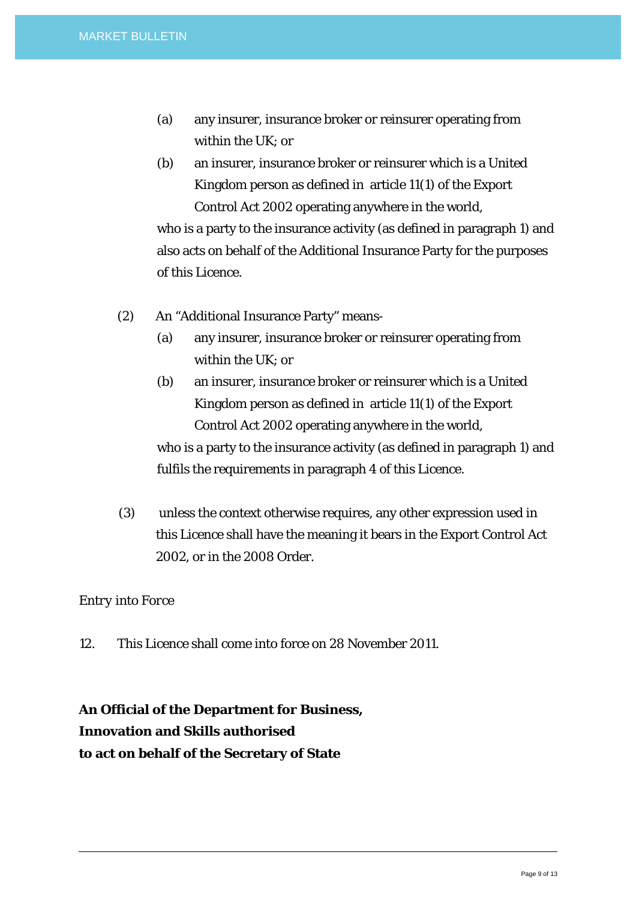- (a) any insurer, insurance broker or reinsurer operating from within the UK; or
- (b) an insurer, insurance broker or reinsurer which is a United Kingdom person as defined in article 11(1) of the Export Control Act 2002 operating anywhere in the world,

who is a party to the insurance activity (as defined in paragraph 1) and also acts on behalf of the Additional Insurance Party for the purposes of this Licence.

- (2) An "Additional Insurance Party" means-
	- (a) any insurer, insurance broker or reinsurer operating from within the UK; or
	- (b) an insurer, insurance broker or reinsurer which is a United Kingdom person as defined in article 11(1) of the Export Control Act 2002 operating anywhere in the world,

who is a party to the insurance activity (as defined in paragraph 1) and fulfils the requirements in paragraph 4 of this Licence.

(3) unless the context otherwise requires, any other expression used in this Licence shall have the meaning it bears in the Export Control Act 2002, or in the 2008 Order.

#### *Entry into Force*

12. This Licence shall come into force on 28 November 2011.

# **An Official of the Department for Business, Innovation and Skills authorised to act on behalf of the Secretary of State**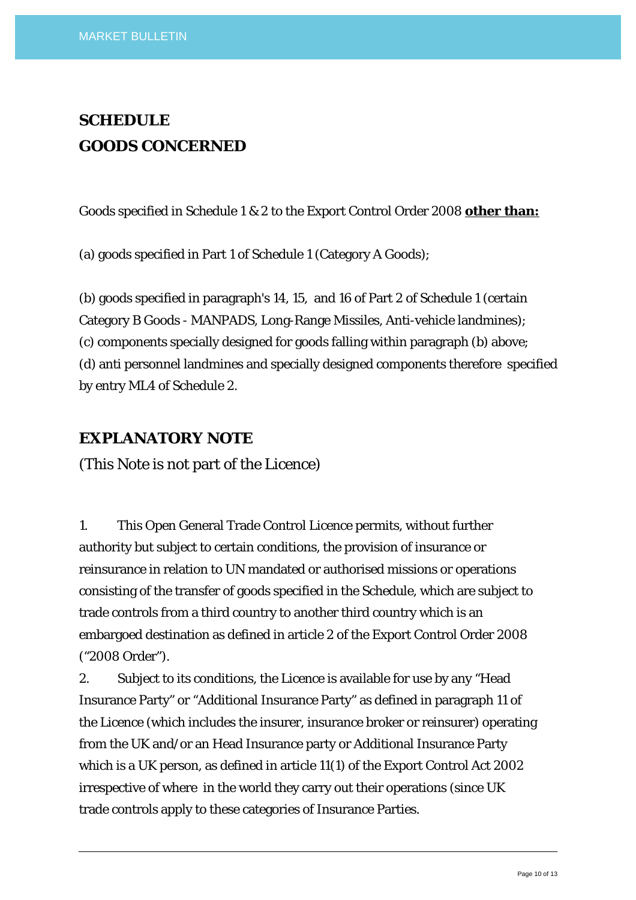# **SCHEDULE GOODS CONCERNED**

Goods specified in Schedule 1 & 2 to the Export Control Order 2008 **other than:**

(a) goods specified in Part 1 of Schedule 1 (Category A Goods);

(b) goods specified in paragraph's 14, 15, and 16 of Part 2 of Schedule 1 (certain Category B Goods - MANPADS, Long-Range Missiles, Anti-vehicle landmines); (c) components specially designed for goods falling within paragraph (b) above; (d) anti personnel landmines and specially designed components therefore specified by entry ML4 of Schedule 2.

### **EXPLANATORY NOTE**

(This Note is not part of the Licence)

1. This Open General Trade Control Licence permits, without further authority but subject to certain conditions, the provision of insurance or reinsurance in relation to UN mandated or authorised missions or operations consisting of the transfer of goods specified in the Schedule, which are subject to trade controls from a third country to another third country which is an embargoed destination as defined in article 2 of the Export Control Order 2008 ("2008 Order").

2. Subject to its conditions, the Licence is available for use by any "Head Insurance Party" or "Additional Insurance Party" as defined in paragraph 11 of the Licence (which includes the insurer, insurance broker or reinsurer) operating from the UK and/or an Head Insurance party or Additional Insurance Party which is a UK person, as defined in article 11(1) of the Export Control Act 2002 irrespective of where in the world they carry out their operations (since UK trade controls apply to these categories of Insurance Parties.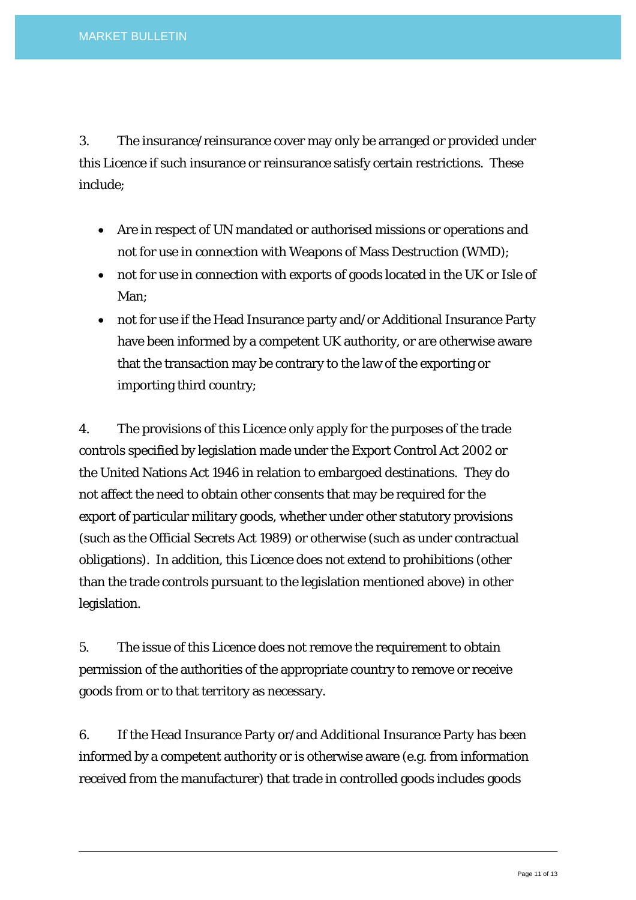3. The insurance/reinsurance cover may only be arranged or provided under this Licence if such insurance or reinsurance satisfy certain restrictions. These include;

- Are in respect of UN mandated or authorised missions or operations and not for use in connection with Weapons of Mass Destruction (WMD);
- not for use in connection with exports of goods located in the UK or Isle of Man;
- not for use if the Head Insurance party and/or Additional Insurance Party have been informed by a competent UK authority, or are otherwise aware that the transaction may be contrary to the law of the exporting or importing third country;

4. The provisions of this Licence only apply for the purposes of the trade controls specified by legislation made under the Export Control Act 2002 or the United Nations Act 1946 in relation to embargoed destinations. They do not affect the need to obtain other consents that may be required for the export of particular military goods, whether under other statutory provisions (such as the Official Secrets Act 1989) or otherwise (such as under contractual obligations). In addition, this Licence does not extend to prohibitions (other than the trade controls pursuant to the legislation mentioned above) in other legislation.

5. The issue of this Licence does not remove the requirement to obtain permission of the authorities of the appropriate country to remove or receive goods from or to that territory as necessary.

6. If the Head Insurance Party or/and Additional Insurance Party has been informed by a competent authority or is otherwise aware (e.g. from information received from the manufacturer) that trade in controlled goods includes goods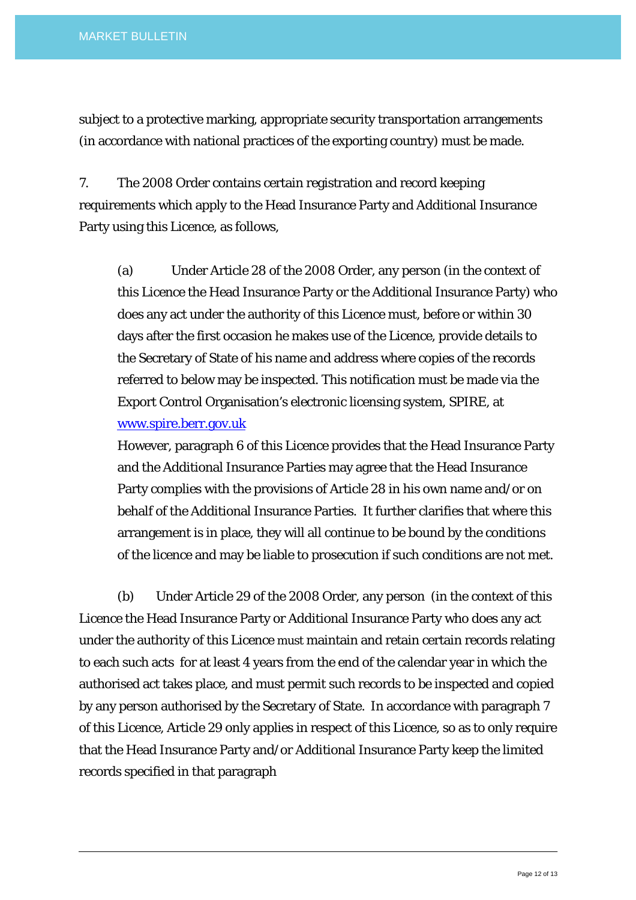subject to a protective marking, appropriate security transportation arrangements (in accordance with national practices of the exporting country) must be made.

7. The 2008 Order contains certain registration and record keeping requirements which apply to the Head Insurance Party and Additional Insurance Party using this Licence, as follows,

(a) Under Article 28 of the 2008 Order, any person (in the context of this Licence the Head Insurance Party or the Additional Insurance Party) who does any act under the authority of this Licence must, before or within 30 days after the first occasion he makes use of the Licence, provide details to the Secretary of State of his name and address where copies of the records referred to below may be inspected. This notification must be made via the Export Control Organisation's electronic licensing system, SPIRE, at [www.spire.berr.gov.uk](http://www.spire.berr.gov.uk/)

However, paragraph 6 of this Licence provides that the Head Insurance Party and the Additional Insurance Parties may agree that the Head Insurance Party complies with the provisions of Article 28 in his own name and/or on behalf of the Additional Insurance Parties. It further clarifies that where this arrangement is in place, they will all continue to be bound by the conditions of the licence and may be liable to prosecution if such conditions are not met.

 (b) Under Article 29 of the 2008 Order, any person (in the context of this Licence the Head Insurance Party or Additional Insurance Party who does any act under the authority of this Licence must maintain and retain certain records relating to each such acts for at least 4 years from the end of the calendar year in which the authorised act takes place, and must permit such records to be inspected and copied by any person authorised by the Secretary of State. In accordance with paragraph 7 of this Licence, Article 29 only applies in respect of this Licence, so as to only require that the Head Insurance Party and/or Additional Insurance Party keep the limited records specified in that paragraph